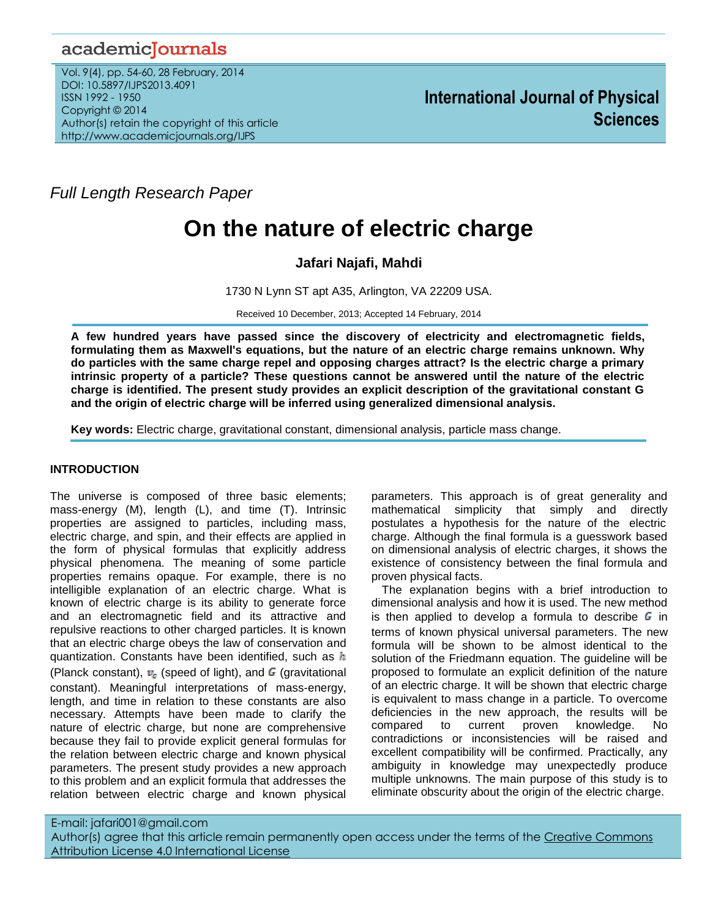## academicJournals

Vol. 9(4), pp. 54-60, 28 February, 2014 DOI: 10.5897/IJPS2013.4091 ISSN 1992 - 1950 Copyright © 2014 Author(s) retain the copyright of this article http://www.academicjournals.org/IJPS

*Full Length Research Paper*

# **On the nature of electric charge**

### **Jafari Najafi, Mahdi**

1730 N Lynn ST apt A35, Arlington, VA 22209 USA.

Received 10 December, 2013; Accepted 14 February, 2014

**A few hundred years have passed since the discovery of electricity and electromagnetic fields, formulating them as Maxwell's equations, but the nature of an electric charge remains unknown. Why do particles with the same charge repel and opposing charges attract? Is the electric charge a primary intrinsic property of a particle? These questions cannot be answered until the nature of the electric charge is identified. The present study provides an explicit description of the gravitational constant G and the origin of electric charge will be inferred using generalized dimensional analysis.**

**Key words:** Electric charge, gravitational constant, dimensional analysis, particle mass change.

#### **INTRODUCTION**

The universe is composed of three basic elements; mass-energy (M), length (L), and time (T). Intrinsic properties are assigned to particles, including mass, electric charge, and spin, and their effects are applied in the form of physical formulas that explicitly address physical phenomena. The meaning of some particle properties remains opaque. For example, there is no intelligible explanation of an electric charge. What is known of electric charge is its ability to generate force and an electromagnetic field and its attractive and repulsive reactions to other charged particles. It is known that an electric charge obeys the law of conservation and quantization. Constants have been identified, such as  $h$ (Planck constant),  $v_c$  (speed of light), and G (gravitational constant). Meaningful interpretations of mass-energy, length, and time in relation to these constants are also necessary. Attempts have been made to clarify the nature of electric charge, but none are comprehensive because they fail to provide explicit general formulas for the relation between electric charge and known physical parameters. The present study provides a new approach to this problem and an explicit formula that addresses the relation between electric charge and known physical

parameters. This approach is of great generality and mathematical simplicity that simply and directly postulates a hypothesis for the nature of the electric charge. Although the final formula is a guesswork based on dimensional analysis of electric charges, it shows the existence of consistency between the final formula and proven physical facts.

The explanation begins with a brief introduction to dimensional analysis and how it is used. The new method is then applied to develop a formula to describe  $\boldsymbol{G}$  in terms of known physical universal parameters. The new formula will be shown to be almost identical to the solution of the Friedmann equation. The guideline will be proposed to formulate an explicit definition of the nature of an electric charge. It will be shown that electric charge is equivalent to mass change in a particle. To overcome deficiencies in the new approach, the results will be compared to current proven knowledge. No contradictions or inconsistencies will be raised and excellent compatibility will be confirmed. Practically, any ambiguity in knowledge may unexpectedly produce multiple unknowns. The main purpose of this study is to eliminate obscurity about the origin of the electric charge.

E-mail: jafari001@gmail.com Author(s) agree that this article remain permanently open access under the terms of the [Creative Commons](http://creativecommons.org/licenses/by/4.0/deed.en_US)  [Attribution License 4.0 International License](http://creativecommons.org/licenses/by/4.0/deed.en_US)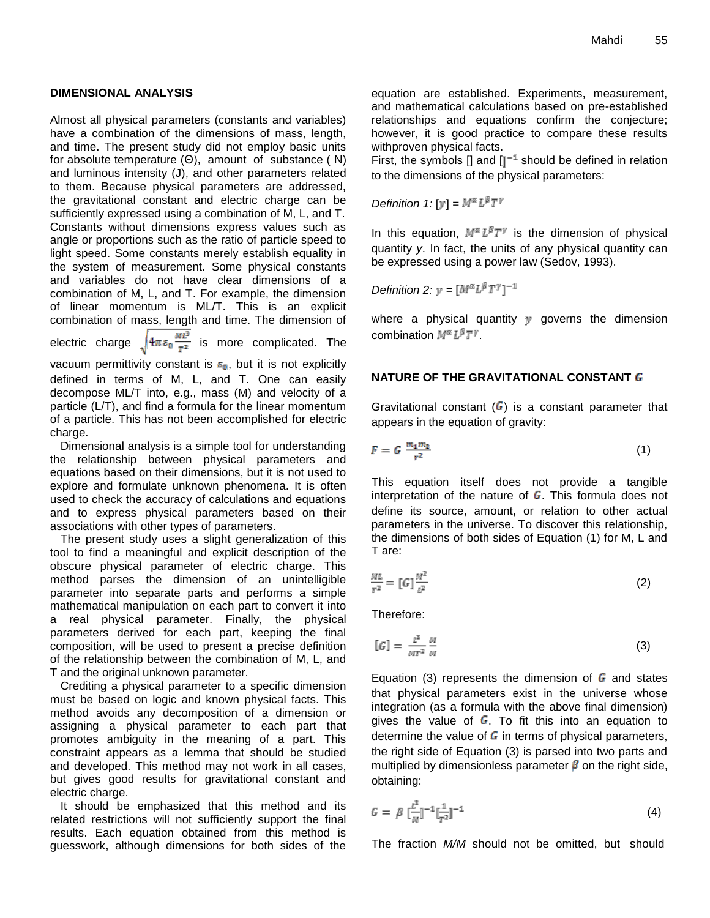#### **DIMENSIONAL ANALYSIS**

Almost all physical parameters (constants and variables) have a combination of the dimensions of mass, length, and time. The present study did not employ basic units for absolute temperature (Θ), amount of substance ( N) and luminous intensity (J), and other parameters related to them. Because physical parameters are addressed, the gravitational constant and electric charge can be sufficiently expressed using a combination of M, L, and T. Constants without dimensions express values such as angle or proportions such as the ratio of particle speed to light speed. Some constants merely establish equality in the system of measurement. Some physical constants and variables do not have clear dimensions of a combination of M, L, and T. For example, the dimension of linear momentum is ML/T. This is an explicit combination of mass, length and time. The dimension of electric charge  $\sqrt{4\pi \epsilon_0 \frac{ML^3}{T^2}}$  is more complicated. The vacuum permittivity constant is  $\varepsilon_0$ , but it is not explicitly defined in terms of M, L, and T. One can easily decompose ML/T into, e.g., mass (M) and velocity of a particle (L/T), and find a formula for the linear momentum of a particle. This has not been accomplished for electric charge.

Dimensional analysis is a simple tool for understanding the relationship between physical parameters and equations based on their dimensions, but it is not used to explore and formulate unknown phenomena. It is often used to check the accuracy of calculations and equations and to express physical parameters based on their associations with other types of parameters.

The present study uses a slight generalization of this tool to find a meaningful and explicit description of the obscure physical parameter of electric charge. This method parses the dimension of an unintelligible parameter into separate parts and performs a simple mathematical manipulation on each part to convert it into a real physical parameter. Finally, the physical parameters derived for each part, keeping the final composition, will be used to present a precise definition of the relationship between the combination of M, L, and T and the original unknown parameter.

Crediting a physical parameter to a specific dimension must be based on logic and known physical facts. This method avoids any decomposition of a dimension or assigning a physical parameter to each part that promotes ambiguity in the meaning of a part. This constraint appears as a lemma that should be studied and developed. This method may not work in all cases, but gives good results for gravitational constant and electric charge.

It should be emphasized that this method and its related restrictions will not sufficiently support the final results. Each equation obtained from this method is guesswork, although dimensions for both sides of the equation are established. Experiments, measurement, and mathematical calculations based on pre-established relationships and equations confirm the conjecture; however, it is good practice to compare these results withproven physical facts.

First, the symbols  $[]$  and  $[]^{-1}$  should be defined in relation to the dimensions of the physical parameters:

*Definition 1:*  $[y] = M^{\alpha} L^{\beta} T^{\gamma}$ 

In this equation,  $M^{\alpha}L^{\beta}T^{\gamma}$  is the dimension of physical quantity *y*. In fact, the units of any physical quantity can be expressed using a power law (Sedov, 1993).

*Definition 2:*  $y = [M^{\alpha} L^{\beta} T^{\gamma}]^{-1}$ 

where a physical quantity  $y$  governs the dimension combination  $M^{\alpha} L^{\beta} T^{\gamma}$ 

#### **NATURE OF THE GRAVITATIONAL CONSTANT**

Gravitational constant  $(G)$  is a constant parameter that appears in the equation of gravity:

$$
F = G \frac{m_1 m_2}{r^2} \tag{1}
$$

This equation itself does not provide a tangible interpretation of the nature of  $\epsilon$ . This formula does not define its source, amount, or relation to other actual parameters in the universe. To discover this relationship, the dimensions of both sides of Equation (1) for M, L and T are:

$$
\frac{ML}{T^2} = \left[ G \right] \frac{M^2}{L^2} \tag{2}
$$

Therefore:

$$
[G] = \frac{L^3}{MT^2} \frac{M}{M} \tag{3}
$$

Equation (3) represents the dimension of  $\boldsymbol{G}$  and states that physical parameters exist in the universe whose integration (as a formula with the above final dimension) gives the value of  $G$ . To fit this into an equation to determine the value of  $\boldsymbol{G}$  in terms of physical parameters, the right side of Equation (3) is parsed into two parts and multiplied by dimensionless parameter  $\beta$  on the right side, obtaining:

$$
G = \beta \, \, \big[ \frac{L^3}{M} \big]^{-1} \big[ \frac{1}{T^2} \big]^{-1} \tag{4}
$$

The fraction *M/M* should not be omitted, but should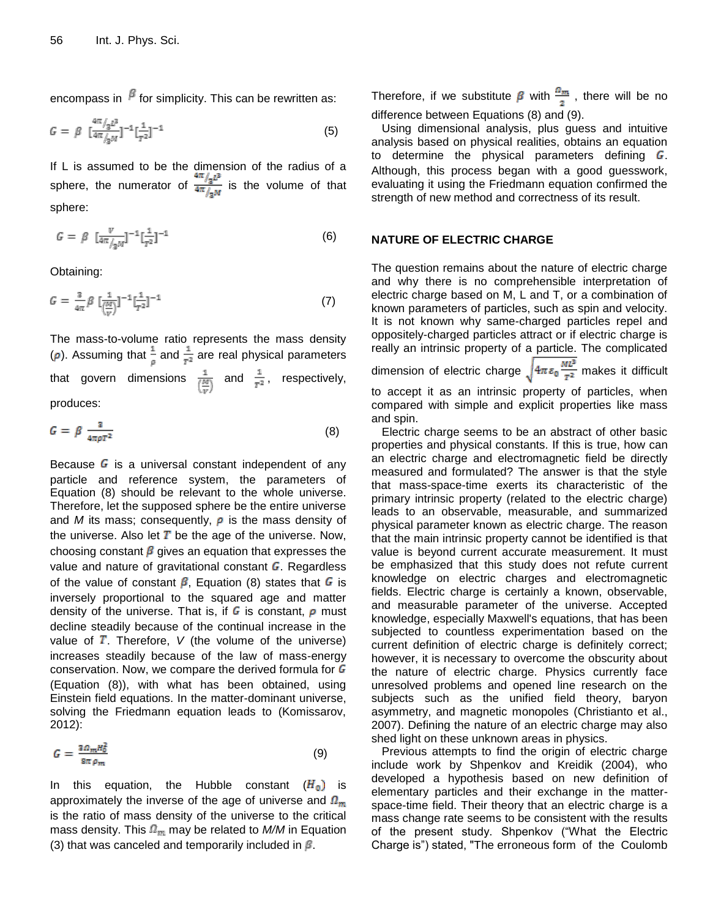encompass in  $\beta$  for simplicity. This can be rewritten as:

$$
G = \beta \ \left[ \frac{4\pi /_{3} L^{3}}{4\pi /_{3} M} \right]^{-1} \left[ \frac{1}{T^{2}} \right]^{-1}
$$
 (5)

If L is assumed to be the dimension of the radius of a sphere, the numerator of  $\frac{1}{4\pi}$  is the volume of that sphere:

$$
G = \beta \ \left[ \frac{v}{4\pi /_{2}M} \right]^{-1} \left[ \frac{1}{T^{2}} \right]^{-1}
$$
 (6)

Obtaining:

$$
G = \frac{3}{4\pi} \beta \, \left[ \frac{1}{\binom{M}{V}} \right]^{-1} \left[ \frac{1}{T^2} \right]^{-1} \tag{7}
$$

The mass-to-volume ratio represents the mass density ( $\rho$ ). Assuming that  $\frac{1}{\rho}$  and  $\frac{1}{T^2}$  are real physical parameters that govern dimensions  $\frac{1}{\left(\frac{M}{V}\right)}$  and  $\frac{1}{T^2}$ , respectively, produces:

$$
G = \beta \frac{a}{4\pi\rho^2} \tag{8}
$$

Because  $\boldsymbol{G}$  is a universal constant independent of any particle and reference system, the parameters of Equation (8) should be relevant to the whole universe. Therefore, let the supposed sphere be the entire universe and  $M$  its mass; consequently,  $\rho$  is the mass density of the universe. Also let  $T$  be the age of the universe. Now, choosing constant  $\beta$  gives an equation that expresses the value and nature of gravitational constant  $\boldsymbol{G}$ . Regardless of the value of constant  $\beta$ , Equation (8) states that G is inversely proportional to the squared age and matter density of the universe. That is, if  $\boldsymbol{G}$  is constant,  $\boldsymbol{p}$  must decline steadily because of the continual increase in the value of  $\overline{T}$ . Therefore, *V* (the volume of the universe) increases steadily because of the law of mass-energy conservation. Now, we compare the derived formula for  $$ (Equation (8)), with what has been obtained, using Einstein field equations. In the matter-dominant universe, solving the Friedmann equation leads to (Komissarov, 2012):

$$
G = \frac{3\Omega_m H_0^2}{8\pi \rho_m} \tag{9}
$$

In this equation, the Hubble constant  $(H_0)$  is approximately the inverse of the age of universe and  $\Omega_m$ is the ratio of mass density of the universe to the critical mass density. This  $\Omega_m$  may be related to  $M/M$  in Equation (3) that was canceled and temporarily included in  $\beta$ .

Therefore, if we substitute  $\beta$  with  $\frac{n_m}{2}$ , there will be no difference between Equations (8) and (9).

Using dimensional analysis, plus guess and intuitive analysis based on physical realities, obtains an equation to determine the physical parameters defining  $G$ . Although, this process began with a good guesswork, evaluating it using the Friedmann equation confirmed the strength of new method and correctness of its result.

#### **NATURE OF ELECTRIC CHARGE**

The question remains about the nature of electric charge and why there is no comprehensible interpretation of electric charge based on M, L and T, or a combination of known parameters of particles, such as spin and velocity. It is not known why same-charged particles repel and oppositely-charged particles attract or if electric charge is really an intrinsic property of a particle. The complicated dimension of electric charge  $\sqrt{4\pi \varepsilon_0 \frac{ML^3}{T^2}}$  makes it difficult to accept it as an intrinsic property of particles, when compared with simple and explicit properties like mass and spin.

Electric charge seems to be an abstract of other basic properties and physical constants. If this is true, how can an electric charge and electromagnetic field be directly measured and formulated? The answer is that the style that mass-space-time exerts its characteristic of the primary intrinsic property (related to the electric charge) leads to an observable, measurable, and summarized physical parameter known as electric charge. The reason that the main intrinsic property cannot be identified is that value is beyond current accurate measurement. It must be emphasized that this study does not refute current knowledge on electric charges and electromagnetic fields. Electric charge is certainly a known, observable, and measurable parameter of the universe. Accepted knowledge, especially Maxwell's equations, that has been subjected to countless experimentation based on the current definition of electric charge is definitely correct; however, it is necessary to overcome the obscurity about the nature of electric charge. Physics currently face unresolved problems and opened line research on the subjects such as the unified field theory, baryon asymmetry, and magnetic monopoles (Christianto et al., 2007). Defining the nature of an electric charge may also shed light on these unknown areas in physics.

Previous attempts to find the origin of electric charge include work by Shpenkov and Kreidik (2004), who developed a hypothesis based on new definition of elementary particles and their exchange in the matterspace-time field. Their theory that an electric charge is a mass change rate seems to be consistent with the results of the present study. Shpenkov ("What the Electric Charge is") stated, "The erroneous form of the Coulomb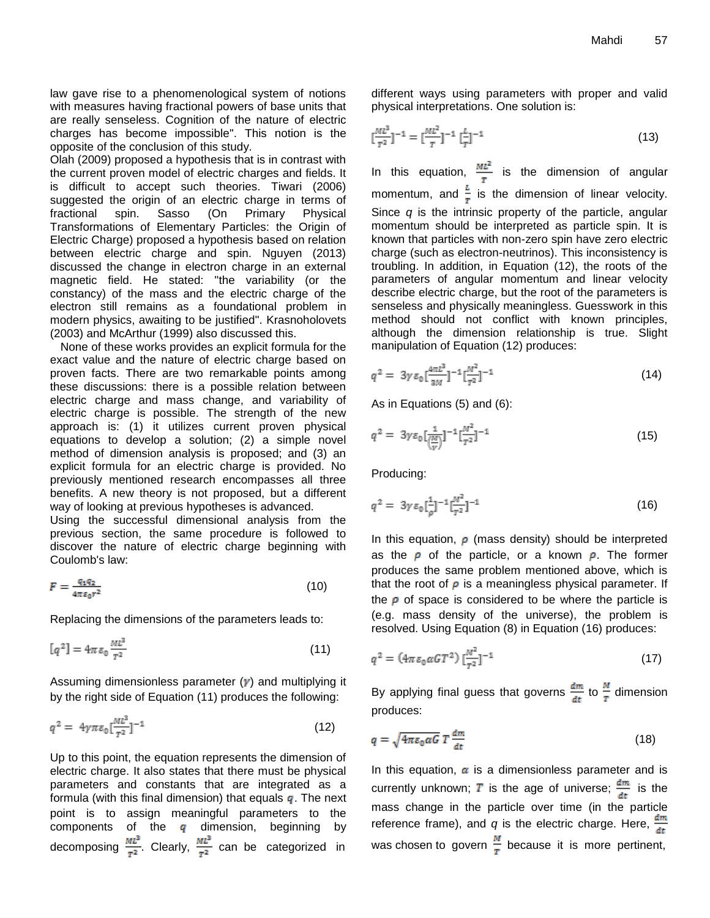law gave rise to a phenomenological system of notions with measures having fractional powers of base units that are really senseless. Cognition of the nature of electric charges has become impossible". This notion is the opposite of the conclusion of this study.

Olah (2009) proposed a hypothesis that is in contrast with the current proven model of electric charges and fields. It is difficult to accept such theories. Tiwari (2006) suggested the origin of an electric charge in terms of fractional spin. Sasso (On Primary Physical Transformations of Elementary Particles: the Origin of Electric Charge) proposed a hypothesis based on relation between electric charge and spin. Nguyen (2013) discussed the change in electron charge in an external magnetic field. He stated: "the variability (or the constancy) of the mass and the electric charge of the electron still remains as a foundational problem in modern physics, awaiting to be justified". Krasnoholovets (2003) and McArthur (1999) also discussed this.

None of these works provides an explicit formula for the exact value and the nature of electric charge based on proven facts. There are two remarkable points among these discussions: there is a possible relation between electric charge and mass change, and variability of electric charge is possible. The strength of the new approach is: (1) it utilizes current proven physical equations to develop a solution; (2) a simple novel method of dimension analysis is proposed; and (3) an explicit formula for an electric charge is provided. No previously mentioned research encompasses all three benefits. A new theory is not proposed, but a different way of looking at previous hypotheses is advanced.

Using the successful dimensional analysis from the previous section, the same procedure is followed to discover the nature of electric charge beginning with Coulomb's law:

$$
F = \frac{q_1 q_2}{4\pi \varepsilon_0 r^2} \tag{10}
$$

Replacing the dimensions of the parameters leads to:

$$
[q^2] = 4\pi \varepsilon_0 \frac{M L^3}{T^2} \tag{11}
$$

Assuming dimensionless parameter  $(y)$  and multiplying it by the right side of Equation (11) produces the following:

$$
q^2 = 4\gamma\pi\varepsilon_0 \left[\frac{M L^3}{T^2}\right]^{-1} \tag{12}
$$

Up to this point, the equation represents the dimension of electric charge. It also states that there must be physical parameters and constants that are integrated as a formula (with this final dimension) that equals  $q$ . The next point is to assign meaningful parameters to the components of the  $q$  dimension, beginning by decomposing  $\frac{dE}{dr}$ . Clearly,  $\frac{dE}{dr}$  can be categorized in

different ways using parameters with proper and valid physical interpretations. One solution is:

$$
\frac{ML^3}{T^2}\big]^{-1} = \left[\frac{ML^2}{T}\right]^{-1}\left[\frac{L}{T}\right]^{-1} \tag{13}
$$

In this equation,  $\frac{dE}{dr}$  is the dimension of angular momentum, and  $\frac{2}{n}$  is the dimension of linear velocity. Since *q* is the intrinsic property of the particle, angular momentum should be interpreted as particle spin. It is known that particles with non-zero spin have zero electric charge (such as electron-neutrinos). This inconsistency is troubling. In addition, in Equation (12), the roots of the parameters of angular momentum and linear velocity describe electric charge, but the root of the parameters is senseless and physically meaningless. Guesswork in this method should not conflict with known principles, although the dimension relationship is true. Slight manipulation of Equation (12) produces:

$$
q^2 = 3\gamma \varepsilon_0 \left[\frac{4\pi L^3}{3M}\right]^{-1} \left[\frac{M^2}{T^2}\right]^{-1} \tag{14}
$$

As in Equations (5) and (6):

$$
q^2 = 3\gamma \varepsilon_0 \left[\frac{1}{\left(\frac{M}{V}\right)}\right]^{-1} \left[\frac{M^2}{T^2}\right]^{-1} \tag{15}
$$

Producing:

$$
q^2 = 3\gamma \varepsilon_0 \left[\frac{1}{\rho}\right]^{-1} \left[\frac{M^2}{T^2}\right]^{-1} \tag{16}
$$

In this equation,  $\rho$  (mass density) should be interpreted as the  $\rho$  of the particle, or a known  $\rho$ . The former produces the same problem mentioned above, which is that the root of  $\rho$  is a meaningless physical parameter. If the  $\rho$  of space is considered to be where the particle is (e.g. mass density of the universe), the problem is resolved. Using Equation (8) in Equation (16) produces:

$$
q^2 = (4\pi \varepsilon_0 \alpha G T^2) \left[\frac{M^2}{T^2}\right]^{-1} \tag{17}
$$

By applying final guess that governs  $\frac{dm}{dt}$  to  $\frac{M}{T}$  dimension produces:

$$
q = \sqrt{4\pi\varepsilon_0 \alpha G} \, T \, \frac{dm}{dt} \tag{18}
$$

In this equation,  $\alpha$  is a dimensionless parameter and is currently unknown; T is the age of universe;  $\frac{dm}{dt}$  is the mass change in the particle over time (in the particle reference frame), and *q* is the electric charge. Here,  $\frac{dm}{dt}$ was chosen to govern  $\frac{M}{T}$  because it is more pertinent,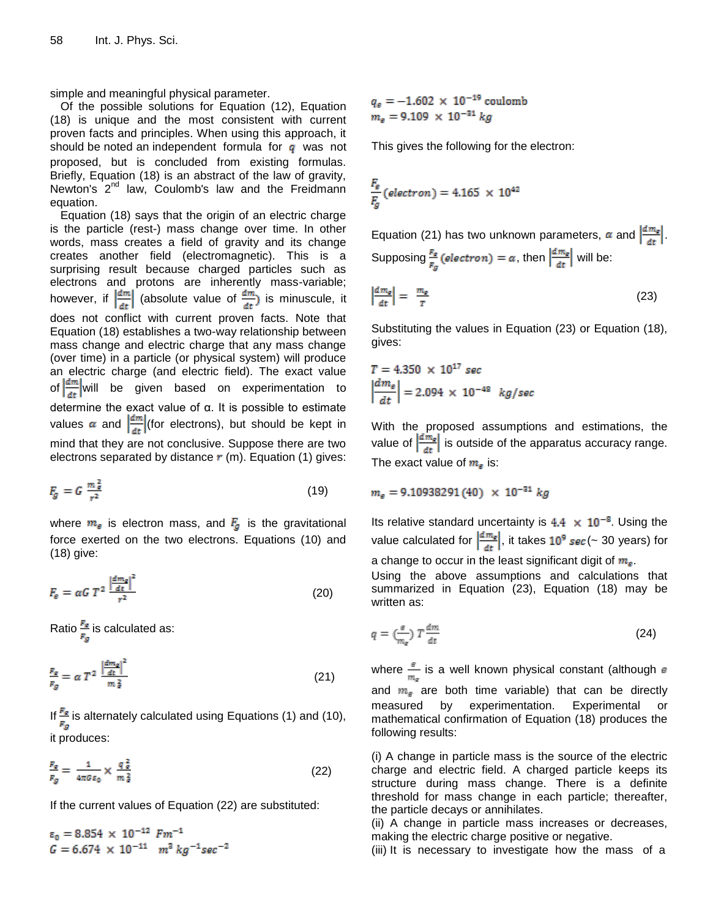simple and meaningful physical parameter.

Of the possible solutions for Equation (12), Equation (18) is unique and the most consistent with current proven facts and principles. When using this approach, it should be noted an independent formula for  $q$  was not proposed, but is concluded from existing formulas. Briefly, Equation (18) is an abstract of the law of gravity, Newton's 2<sup>nd</sup> law, Coulomb's law and the Freidmann equation.

Equation (18) says that the origin of an electric charge is the particle (rest-) mass change over time. In other words, mass creates a field of gravity and its change creates another field (electromagnetic). This is a surprising result because charged particles such as electrons and protons are inherently mass-variable; however, if  $\left| \frac{a_{1}}{b_{1}} \right|$  (absolute value of  $\frac{a_{1}}{b_{1}}$ ) is minuscule, it does not conflict with current proven facts. Note that Equation (18) establishes a two-way relationship between mass change and electric charge that any mass change (over time) in a particle (or physical system) will produce an electric charge (and electric field). The exact value of  $\frac{dm}{dt}$  will be given based on experimentation to determine the exact value of α. It is possible to estimate values  $\alpha$  and  $\left|\frac{dm}{dt}\right|$  (for electrons), but should be kept in mind that they are not conclusive. Suppose there are two electrons separated by distance  $r$  (m). Equation (1) gives:

$$
F_g = G \frac{m_g^2}{r^2} \tag{19}
$$

where  $m_e$  is electron mass, and  $F_g$  is the gravitational force exerted on the two electrons. Equations (10) and (18) give:

$$
F_{\rm e} = \alpha G \ T^2 \frac{\left| \frac{dm_{\rm e}}{dt} \right|^2}{r^2} \tag{20}
$$

Ratio  $\frac{F_e}{F_e}$  is calculated as:

$$
\frac{F_g}{F_g} = \alpha T^2 \left| \frac{\frac{dm_g}{dt} \right|^2}{m_g^2} \tag{21}
$$

If  $\frac{F_g}{F_g}$  is alternately calculated using Equations (1) and (10), it produces:

$$
\frac{F_g}{F_g} = \frac{1}{4\pi G \,\varepsilon_0} \times \frac{q \frac{2}{\alpha}}{m \frac{2}{\alpha}} \tag{22}
$$

If the current values of Equation (22) are substituted:

$$
\varepsilon_0 = 8.854 \times 10^{-12} \, Fm^{-1}
$$
\n
$$
G = 6.674 \times 10^{-11} \, m^3 \, kg^{-1} \, sec^{-2}
$$

$$
q_e = -1.602 \times 10^{-19}
$$
 coulomb  
 $m_e = 9.109 \times 10^{-31}$  kg

This gives the following for the electron:

$$
\frac{F_e}{F_g}\left(electron\right)=4.165\ \times\ 10^{42}
$$

Equation (21) has two unknown parameters,  $\alpha$  and  $\left|\frac{dm_e}{dt}\right|$ . Supposing  $\frac{F_g}{F_g}$  (electron) =  $\alpha$ , then  $\left|\frac{dm_g}{dt}\right|$  will be:

$$
\left|\frac{dm_e}{dt}\right| = \frac{m_e}{T} \tag{23}
$$

Substituting the values in Equation (23) or Equation (18), gives:

$$
T = 4.350 \times 10^{17} \text{ sec}
$$

$$
\left| \frac{dm_e}{dt} \right| = 2.094 \times 10^{-48} \text{ kg/sec}
$$

With the proposed assumptions and estimations, the value of  $\left|\frac{dm_e}{dt}\right|$  is outside of the apparatus accuracy range. The exact value of  $m_e$  is:

$$
m_e = 9.10938291(40) \times 10^{-31} kg
$$

Its relative standard uncertainty is  $4.4 \times 10^{-8}$  Using the value calculated for  $\left|\frac{dm_e}{dt}\right|$ , it takes 10<sup>9</sup> sec (~ 30 years) for a change to occur in the least significant digit of  $m<sub>e</sub>$ .

Using the above assumptions and calculations that summarized in Equation (23), Equation (18) may be written as:

$$
q = \left(\frac{\varepsilon}{m_g}\right) T \frac{dm}{dt} \tag{24}
$$

where  $\frac{e}{m_e}$  is a well known physical constant (although e and  $m<sub>e</sub>$  are both time variable) that can be directly measured by experimentation. Experimental or mathematical confirmation of Equation (18) produces the following results:

(i) A change in particle mass is the source of the electric charge and electric field. A charged particle keeps its structure during mass change. There is a definite threshold for mass change in each particle; thereafter, the particle decays or annihilates.

(ii) A change in particle mass increases or decreases, making the electric charge positive or negative.

(iii) It is necessary to investigate how the mass of a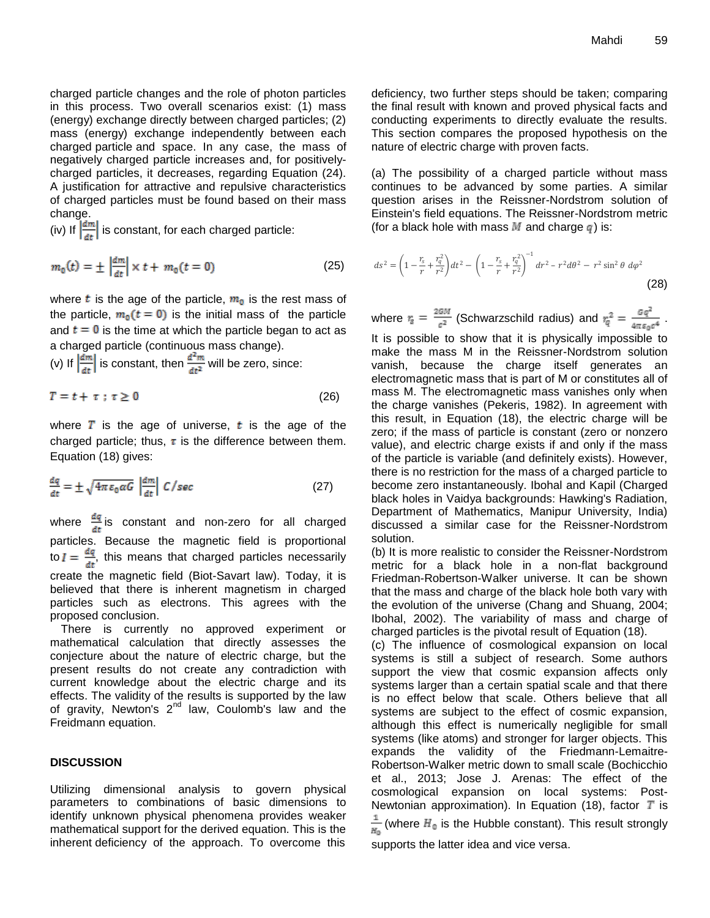charged particle changes and the role of photon particles in this process. Two overall scenarios exist: (1) mass (energy) exchange directly between charged particles; (2) mass (energy) exchange independently between each charged particle and space. In any case, the mass of negatively charged particle increases and, for positivelycharged particles, it decreases, regarding Equation (24). A justification for attractive and repulsive characteristics of charged particles must be found based on their mass change.

(iv) If  $\left|\frac{dm}{dt}\right|$  is constant, for each charged particle:

$$
m_0(t) = \pm \left| \frac{dm}{dt} \right| \times t + m_0(t = 0)
$$
 (25)

where t is the age of the particle,  $m_0$  is the rest mass of the particle,  $m_0(t = 0)$  is the initial mass of the particle and  $t = 0$  is the time at which the particle began to act as a charged particle (continuous mass change).

(v) If  $\left|\frac{dm}{dt}\right|$  is constant, then  $\frac{d^2m}{dt^2}$  will be zero, since:

$$
T = t + \tau \; ; \; \tau \ge 0 \tag{26}
$$

where  $\overline{T}$  is the age of universe,  $t$  is the age of the charged particle; thus,  $\tau$  is the difference between them. Equation (18) gives:

$$
\frac{dq}{dt} = \pm \sqrt{4\pi \varepsilon_0 \alpha G} \left| \frac{dm}{dt} \right| C/sec \tag{27}
$$

where  $\frac{dq}{dt}$  is constant and non-zero for all charged particles. Because the magnetic field is proportional to  $I = \frac{dq}{dt}$ , this means that charged particles necessarily create the magnetic field (Biot-Savart law). Today, it is believed that there is inherent magnetism in charged particles such as electrons. This agrees with the proposed conclusion.

There is currently no approved experiment or mathematical calculation that directly assesses the conjecture about the nature of electric charge, but the present results do not create any contradiction with current knowledge about the electric charge and its effects. The validity of the results is supported by the law of gravity, Newton's  $2^{nd}$  law, Coulomb's law and the Freidmann equation.

#### **DISCUSSION**

Utilizing dimensional analysis to govern physical parameters to combinations of basic dimensions to identify unknown physical phenomena provides weaker mathematical support for the derived equation. This is the inherent deficiency of the approach. To overcome this

deficiency, two further steps should be taken; comparing the final result with known and proved physical facts and conducting experiments to directly evaluate the results. This section compares the proposed hypothesis on the nature of electric charge with proven facts.

(a) The possibility of a charged particle without mass continues to be advanced by some parties. A similar question arises in the Reissner-Nordstrom solution of Einstein's field equations. The Reissner-Nordstrom metric (for a black hole with mass  $M$  and charge  $q$ ) is:

$$
ds^{2} = \left(1 - \frac{r_{s}}{r} + \frac{r_{q}^{2}}{r^{2}}\right)dt^{2} - \left(1 - \frac{r_{s}}{r} + \frac{r_{q}^{2}}{r^{2}}\right)^{-1}dr^{2} - r^{2}d\theta^{2} - r^{2}\sin^{2}\theta \ d\varphi^{2}
$$
\n(28)

where  $r_s = \frac{2GM}{c^2}$  (Schwarzschild radius) and  $r_q^2 = \frac{Gq^2}{4\pi\epsilon_0 c^4}$ .

It is possible to show that it is physically impossible to make the mass M in the Reissner-Nordstrom solution vanish, because the charge itself generates an electromagnetic mass that is part of M or constitutes all of mass M. The electromagnetic mass vanishes only when the charge vanishes (Pekeris, 1982). In agreement with this result, in Equation (18), the electric charge will be zero; if the mass of particle is constant (zero or nonzero value), and electric charge exists if and only if the mass of the particle is variable (and definitely exists). However, there is no restriction for the mass of a charged particle to become zero instantaneously. Ibohal and Kapil (Charged black holes in Vaidya backgrounds: Hawking's Radiation, Department of Mathematics, Manipur University, India) discussed a similar case for the Reissner-Nordstrom solution.

(b) It is more realistic to consider the Reissner-Nordstrom metric for a black hole in a non-flat background Friedman-Robertson-Walker universe. It can be shown that the mass and charge of the black hole both vary with the evolution of the universe (Chang and Shuang, 2004; Ibohal, 2002). The variability of mass and charge of charged particles is the pivotal result of Equation (18).

(c) The influence of cosmological expansion on local systems is still a subject of research. Some authors support the view that cosmic expansion affects only systems larger than a certain spatial scale and that there is no effect below that scale. Others believe that all systems are subject to the effect of cosmic expansion, although this effect is numerically negligible for small systems (like atoms) and stronger for larger objects. This expands the validity of the Friedmann-Lemaitre-Robertson-Walker metric down to small scale (Bochicchio et al., 2013; Jose J. Arenas: The effect of the cosmological expansion on local systems: Post-Newtonian approximation). In Equation (18), factor  $T$  is  $\frac{1}{H_0}$  (where  $H_0$  is the Hubble constant). This result strongly supports the latter idea and vice versa.